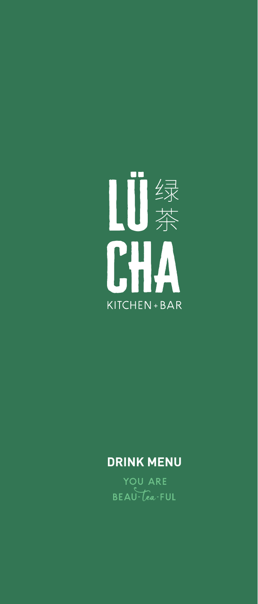

# **DRINK MENU**

YOU ARE BEAU-Cea-FUL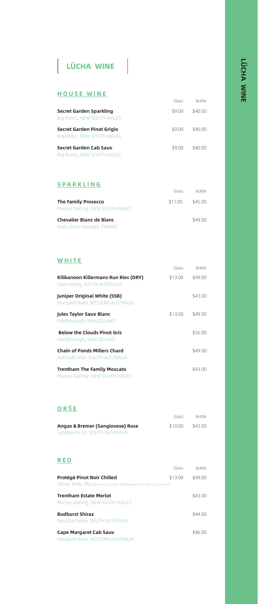# $\vert$  LÜCHA WINE  $\vert$

#### HOUSE WINE

|                                                                  | Glass  | <b>Bottle</b> |
|------------------------------------------------------------------|--------|---------------|
| Secret Garden Sparkling<br><b>Big Rivers, NEW SOUTH WALES</b>    | \$9.00 | \$40.00       |
| Secret Garden Pinot Grigio<br><b>Big Rivers, NEW SOUTH WALES</b> | \$9.00 | \$40.00       |
| Secret Garden Cab Sauv<br>Big Rivers, NEW SOUTH WALES            | \$9.00 | \$40.00       |

### SPARKLING

|                                                                | Glass   | <b>Bottle</b> |
|----------------------------------------------------------------|---------|---------------|
| <b>The Family Prosecco</b><br>Murray Darling, NEW SOUTH WALES  | \$11.00 | \$45.00       |
| Chevalier Blanc de Blanc<br><b>Nuits Saint Georges, FRANCE</b> |         | \$49.00       |

#### **WHITE**

|                                                                          | Glass   | Bottle  |
|--------------------------------------------------------------------------|---------|---------|
| Kilikanoon Killermans Run Ries (DRY)<br>Clare Valley, SOUTH AUSTRALIA    | \$13.00 | \$49.00 |
| <b>Juniper Original White (SSB)</b><br>Margaret River, WESTERN AUSTRALIA |         | \$43.00 |
| Jules Taylor Sauv Blanc<br>Marlborough, NEW ZELAND                       | \$13.00 | \$49.00 |
| <b>Below the Clouds Pinot Gris</b><br>Marlborough, NEW ZELAND            |         | \$56.00 |
| <b>Chain of Ponds Millers Chard</b><br>Adelaide Hills, SOUTH AUSTRALIA   |         | \$49.00 |
| <b>Trentham The Family Moscato</b>                                       |         | \$43.00 |

### ORŚE

Murray Darling, NEW SOUTH WALES

|                                  | Glass   | <b>Bottle</b> |
|----------------------------------|---------|---------------|
| Angas & Bremer (Sangiovese) Rose | \$10.00 | \$43.00       |
| Langhorne Ck, SOUTH AUSTRALIA    |         |               |

#### RED

|                                                                     | Glass   | <b>Bottle</b> |
|---------------------------------------------------------------------|---------|---------------|
| Protégé Pinot Noir Chilled                                          | \$13.00 | \$49.00       |
| Tamar River, TAS (Sever at a Cooler Temperature For Your Enjoyment) |         |               |
| <b>Trentham Estate Merlot</b>                                       |         | \$43.00       |
| Murray Darling, NEW SOUTH WALES                                     |         |               |
| <b>Budburst Shiraz</b>                                              |         | \$44.00       |
| Barossa Valley, SOUTH AUSTRALIA                                     |         |               |
| <b>Cape Margaret Cab Sauv</b>                                       |         | \$46.00       |
| Margaret River, WESTERN AUSTRALIA                                   |         |               |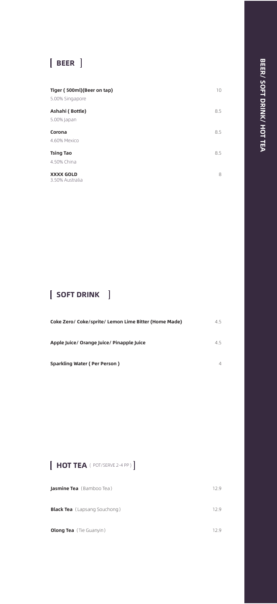# **EBEER** ]

| Tiger (500ml)(Beer on tap)<br>5.00% Singapore | 10  |
|-----------------------------------------------|-----|
| Ashahi (Bottle)<br>5.00% Japan                | 8.5 |
| Corona<br>4.60% Mexico                        | 8.5 |
| <b>Tsing Tao</b><br>4.50% China               | 8.5 |
| <b>XXXX GOLD</b><br>3.50% Australia           | 8   |

## SOFT DRINK

| Coke Zero/ Coke/sprite/ Lemon Lime Bitter (Home Made) | 4.5 |
|-------------------------------------------------------|-----|
|                                                       |     |
| Apple Juice/ Orange Juice/ Pinapple Juice             | 45  |
|                                                       |     |
| Sparkling Water (Per Person)                          |     |
|                                                       |     |

### $[$  HOT TEA ( POT/SERVE 2-4 PP)  $]$

| Jasmine Tea (Bamboo Tea)            | 12.9 |
|-------------------------------------|------|
| <b>Black Tea</b> (Lapsang Souchong) | 129  |
| <b>Olong Tea</b> (Tie Guanyin)      | 129  |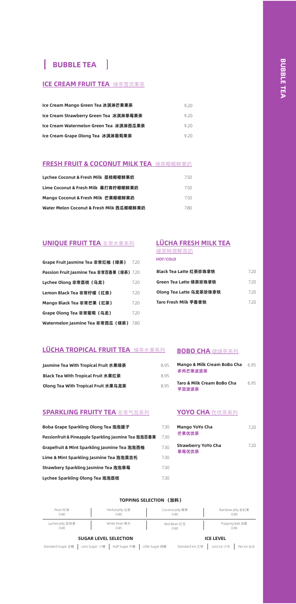### **BUBBLE TEA**

#### ICE CREAM FRUIT TEA 绿茶雪顶果茶

| Ice Cream Mango Green Tea 冰淇淋芒果果茶       | 9.20  |
|-----------------------------------------|-------|
| Ice Cream Strawberry Green Tea  冰淇淋草莓果茶 | 9.20  |
| lce Cream Watermelon Green Tea  冰淇淋西瓜果茶 | 9.20  |
| lce Cream Grape Olong Tea  冰淇淋葡萄果茶      | 9 20. |

#### **FRESH FRUIT & COCONUT MILK TEA** 绿茶椰椰鲜果奶

| Lychee Coconut & Fresh Milk  荔枝椰椰鲜果奶     | 750  |
|------------------------------------------|------|
| Lime Coconut & Fresh Milk  暴打青柠椰椰鲜果奶     | 7.50 |
| Mango Coconut & Fresh Milk  芒果椰椰鲜果奶      | 750  |
| Water Melon Coconut & Fresh Milk 西瓜椰椰鲜果奶 | 780  |

#### UNIQUE FRUIT TEA 非常水果系列

| Grape Fruit Jasmine Tea 非常红柚(绿茶)          | 7.20 |
|-------------------------------------------|------|
| Passion Fruit Jasmine Tea 非常百香果 (绿茶) 7.20 |      |
| Lychee Olong 非常荔枝(乌龙)                     | 7.20 |
| Lemon Black Tea 非常柠檬(红茶)                  | 7.20 |
| Mango Black Tea 非常芒果(红茶)                  | 7.20 |
| Grape Olong Tea 非常葡萄 (乌龙)                 | 7.20 |
| Watermelon Jasmine Tea 非常西瓜(绿茶)           | 7.80 |

#### LÜCHA FRESH MILK TEA 绿茶特调鲜茶奶

HOT/COLD

| Black Tea Latte 红茶珍珠拿铁  | 7.20 |
|-------------------------|------|
| Green Tea Latte 绿茶珍珠拿铁  | 720  |
| Olong Tea Latte 乌龙茶珍珠拿铁 | 720  |
| Taro Fresh Milk 芋香拿铁    | 720  |

#### LÜCHA TROPICAL FRUIT TEA 绿茶水果系列 BOBO CHA 啵啵茶系列

| Jasmine Tea With Tropical Fruit 水果绿茶 |
|--------------------------------------|
| Black Tea With Tropical Fruit 水果红茶   |
| Olong Tea With Tropical Fruit 水果乌龙茶  |

#### SPARKLING FRUITY TEA 非常气泡系列

| Boba Grape Sparkling Olong Tea 泡泡提子                  |
|------------------------------------------------------|
| Passionfruit & Pineapple Sparkling Jasmine Tea 泡泡百香果 |
| Grapefruit & Mint Sparkling Jasmine Tea 泡泡西柚         |
| Lime & Mint Sparkling Jasmine Tea 泡泡莫吉托              |
| Strawbery Sparkling Jasmine Tea 泡泡草莓                 |
| Lychee Sparkling Olong Tea 泡泡荔枝                      |

| 8.95 | Mango & Milk Cream BoBo Cha<br>多肉芒果波波茶 | 695 |
|------|----------------------------------------|-----|
| 895  |                                        |     |
| 8.95 | Taro & Milk Cream BoBo Cha<br>芋泥波波茶    | 695 |

#### **YOYO CHA** 优优茶系列

| Mango YoYo Cha<br>芒果优优茶             | 720 |
|-------------------------------------|-----|
| <b>Strawberry YoYo Cha</b><br>草莓优优茶 | 720 |

#### TOPPING SELECTION (加料)

7.30 7.30 7.30 7.30 7.30 7.30

| Pearl 珍珠         | Herbal Jelly 仙草              | Coconut jelly 椰果 | Rainbow Jelly 彩虹果 |
|------------------|------------------------------|------------------|-------------------|
| 0.80             | 0.80                         | 0.80             | 0.80              |
| Lychee Jelly 荔枝果 | White Pearl 寒天               | Red Bean 红豆      | Popping Ball 波霸   |
| 0.80             | 0.85                         | 0.80             | 0.80              |
|                  | <b>SUGAR LEVEL SELECTION</b> |                  | <b>ICE LEVEL</b>  |

#### ICE LEVEL

Standard Sugar 全糖 | Less Sugar 少糖 | Half Sugar 半糖 | Little Sugar 微糖 Standard Ice 正常 | Less Ice 少冰 | No Ice 去冰